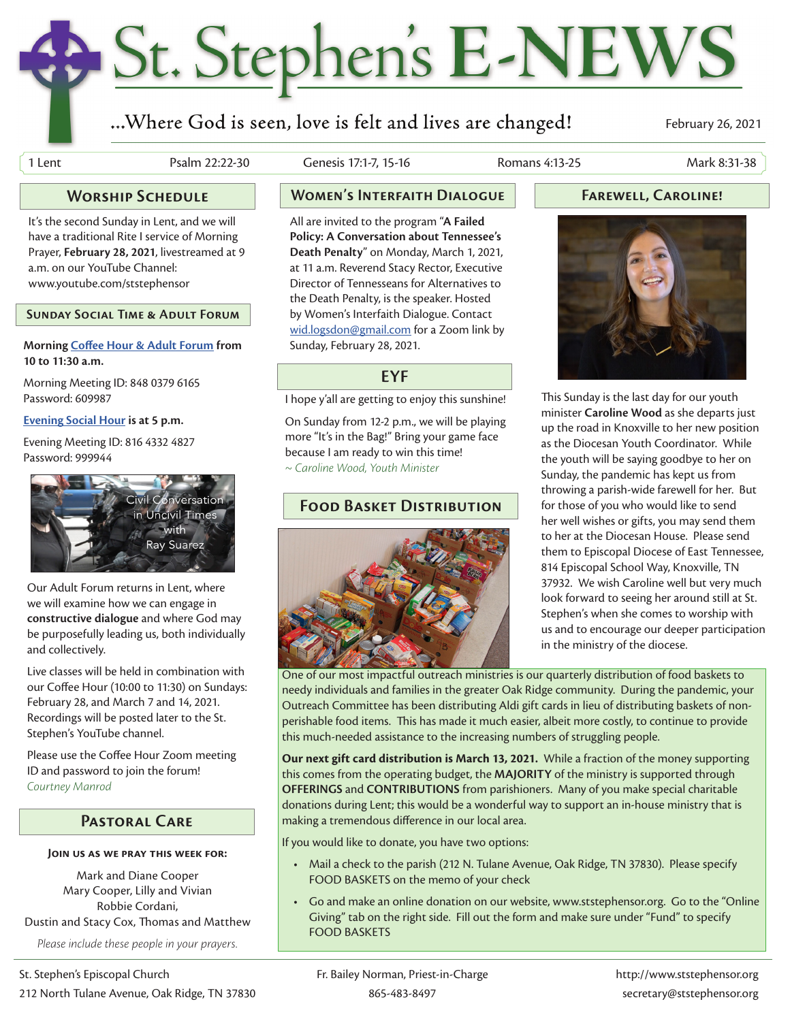# St. Stephen's E-NEWS

## ...Where God is seen, love is felt and lives are changed!

February 26, 2021

1 Lent Psalm 22:22-30 Genesis 17:1-7, 15-16 Romans 4:13-25 Mark 8:31-38

It's the second Sunday in Lent, and we will have a traditional Rite I service of Morning Prayer, **February 28, 2021**, livestreamed at 9 a.m. on our YouTube Channel: www.youtube.com/ststephensor

**Sunday Social Time & Adult Forum**

#### **Morning Coffee Hour & Adult Forum from 10 to 11:30 a.m.**

Morning Meeting ID: 848 0379 6165 Password: 609987

#### **Evening Social Hour is at 5 p.m.**

Evening Meeting ID: 816 4332 4827 Password: 999944



Our Adult Forum returns in Lent, where we will examine how we can engage in **constructive dialogue** and where God may be purposefully leading us, both individually and collectively.

Live classes will be held in combination with our Coffee Hour (10:00 to 11:30) on Sundays: February 28, and March 7 and 14, 2021. Recordings will be posted later to the St. Stephen's YouTube channel.

Please use the Coffee Hour Zoom meeting ID and password to join the forum! *Courtney Manrod*

#### **Pastoral Care**

#### **Join us as we pray this week for:**

Mark and Diane Cooper Mary Cooper, Lilly and Vivian Robbie Cordani, Dustin and Stacy Cox, Thomas and Matthew *Please include these people in your prayers.*

All are invited to the program "**A Failed Policy: A Conversation about Tennessee's Death Penalty**" on Monday, March 1, 2021, at 11 a.m. Reverend Stacy Rector, Executive Director of Tennesseans for Alternatives to the Death Penalty, is the speaker. Hosted by Women's Interfaith Dialogue. Contact wid.logsdon@gmail.com for a Zoom link by Sunday, February 28, 2021.

#### **EYF**

I hope y'all are getting to enjoy this sunshine!

On Sunday from 12-2 p.m., we will be playing more "It's in the Bag!" Bring your game face because I am ready to win this time! *~ Caroline Wood, Youth Minister*

### **Food Basket Distribution**



### **Worship Schedule Women's Interfaith Dialogue Farewell, Caroline!**



This Sunday is the last day for our youth minister **Caroline Wood** as she departs just up the road in Knoxville to her new position as the Diocesan Youth Coordinator. While the youth will be saying goodbye to her on Sunday, the pandemic has kept us from throwing a parish-wide farewell for her. But for those of you who would like to send her well wishes or gifts, you may send them to her at the Diocesan House. Please send them to Episcopal Diocese of East Tennessee, 814 Episcopal School Way, Knoxville, TN 37932. We wish Caroline well but very much look forward to seeing her around still at St. Stephen's when she comes to worship with us and to encourage our deeper participation in the ministry of the diocese.

One of our most impactful outreach ministries is our quarterly distribution of food baskets to needy individuals and families in the greater Oak Ridge community. During the pandemic, your Outreach Committee has been distributing Aldi gift cards in lieu of distributing baskets of nonperishable food items. This has made it much easier, albeit more costly, to continue to provide this much-needed assistance to the increasing numbers of struggling people.

**Our next gift card distribution is March 13, 2021.** While a fraction of the money supporting this comes from the operating budget, the **MAJORITY** of the ministry is supported through **OFFERINGS** and **CONTRIBUTIONS** from parishioners. Many of you make special charitable donations during Lent; this would be a wonderful way to support an in-house ministry that is making a tremendous difference in our local area.

If you would like to donate, you have two options:

- Mail a check to the parish (212 N. Tulane Avenue, Oak Ridge, TN 37830). Please specify FOOD BASKETS on the memo of your check
- Go and make an online donation on our website, www.ststephensor.org. Go to the "Online Giving" tab on the right side. Fill out the form and make sure under "Fund" to specify FOOD BASKETS